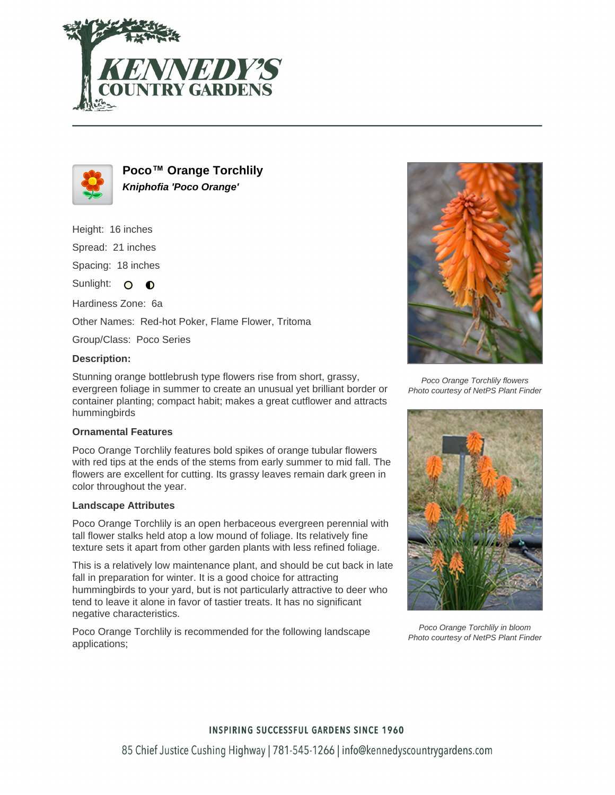



**Poco™ Orange Torchlily Kniphofia 'Poco Orange'**

Height: 16 inches

Spread: 21 inches

Spacing: 18 inches

Sunlight:  $\overline{O}$  $\bullet$ 

Hardiness Zone: 6a

Other Names: Red-hot Poker, Flame Flower, Tritoma

Group/Class: Poco Series

### **Description:**

Stunning orange bottlebrush type flowers rise from short, grassy, evergreen foliage in summer to create an unusual yet brilliant border or container planting; compact habit; makes a great cutflower and attracts hummingbirds

#### **Ornamental Features**

Poco Orange Torchlily features bold spikes of orange tubular flowers with red tips at the ends of the stems from early summer to mid fall. The flowers are excellent for cutting. Its grassy leaves remain dark green in color throughout the year.

#### **Landscape Attributes**

Poco Orange Torchlily is an open herbaceous evergreen perennial with tall flower stalks held atop a low mound of foliage. Its relatively fine texture sets it apart from other garden plants with less refined foliage.

This is a relatively low maintenance plant, and should be cut back in late fall in preparation for winter. It is a good choice for attracting hummingbirds to your yard, but is not particularly attractive to deer who tend to leave it alone in favor of tastier treats. It has no significant negative characteristics.

Poco Orange Torchlily is recommended for the following landscape applications;



Poco Orange Torchlily flowers Photo courtesy of NetPS Plant Finder



Poco Orange Torchlily in bloom Photo courtesy of NetPS Plant Finder

## **INSPIRING SUCCESSFUL GARDENS SINCE 1960**